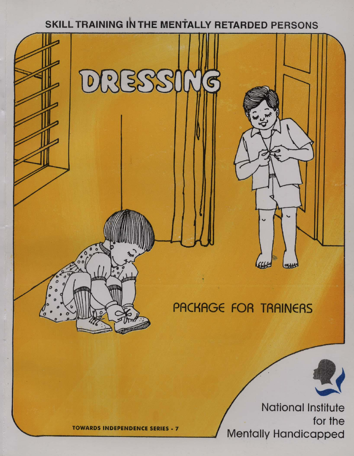## SKILL TRAINING IN THE MENTALLY RETARDED PERSONS



**TOWARDS INDEPENDENCE SERIES - 7** 

for the Mentally Handicapped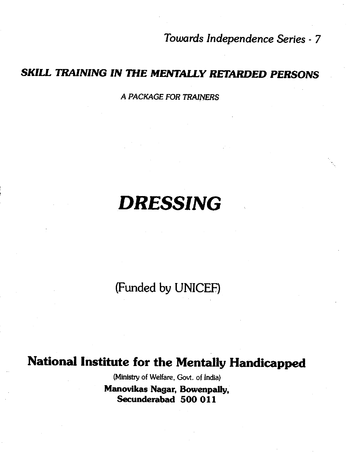Towards Independence Series - 7

### SKILL TRAINING IN THE MENTALLY RETARDED PERSONS

A PACKAGE FOR TRAINERS

# • DRESSING

• (Funded by UNICEF)

### National Institute for the Mentally Handicapped

(Ministry of Welfare, Govt. of India) Man ovikas Nagar, Bowenpally, Secunderabad 500 011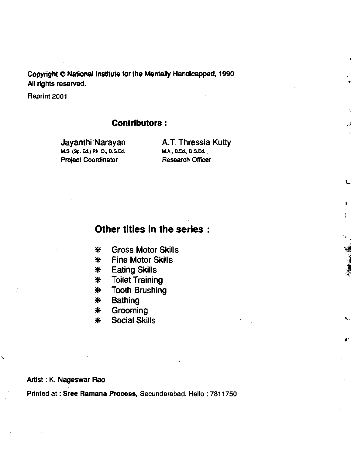Copyright © National Institute for the Mentally Handicapped, 1990 All rights reserved.

Reprint 2001

#### Contributors:

M.S. (Sp. Ed.) Ph. D., D.S.Ed. **Project Coordinator Research Officer** 

Jayanthi Narayan A.T. Thressia Kutty<br>M.s. (Sp. Ed.) Ph. D., D.S.Ed. M.A., B.Ed., D.S.Ed.

L

I

1:

#### Other titles in the series:

- \* Gross Motor Skills
- \* Fine Motor Skills
- \* Eating Skills
- \* Toilet Training
- \* Tooth Brushing
- \* Bathing
- \* Grooming
- **Social Skills**

#### Artist : K. Nageswar Rao

Ķ

Printed at : Sree Ramana Process, Secunderabad. Hello : 7811750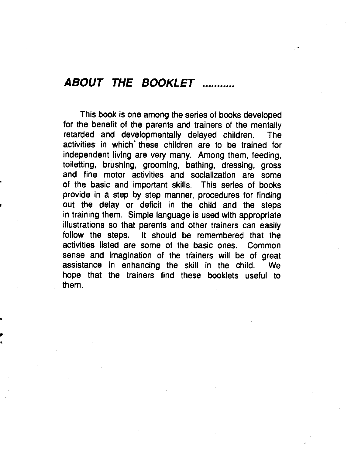### ABOUT THE BOOKLET ........

This book is one among the series of books developed for the benefit of the parents and trainers of the mentally retarded •and developmentally delayed children. The activities in which' these children are to be trained for independent living are very many. Among them, feeding, toiletting, brushing, grooming, bathing, dressing, groos and fine motor activities and socialization are some of the basic and important skills. This series of books provide in a step by step manner, procedures for finding out the delay or deficit in the child and the steps in training them. Simple language is used with appropriate illustrations so that parents and other trainers can easily follow the steps. It should be remembered that the activities listed are some of the basic ones. Common sense and imagination of the trainers will be of great assistance in enhancing the skill in the child. We hope that the trainers find these booklets useful to them.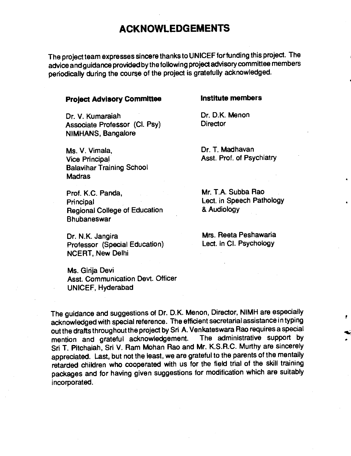### ACKNOWLEDGEMENTS

The project team expresses sincere thanks to UNICEF forfunding this project. The advice and guidance provided bythe following project advisory committee members periodically during the course of the project is gratefully acknowledged.

#### Project Advisory Committee **Institute members**

Dr. V. Kumaraiah Dr. D.K. Menon<br>Associate Professor (CL Psv) Director Associate Professor (Cl. Psy) NIMHANS, Bangalore

Ms. V. Vimala, Dr. T. Madhavan Vice Principal **Asst.** Prof. of Psychiatry Balavihar Training School Madras

Prof. K.C. Panda, Mr. T.A. Subba Rao Principal Lect. in Speech Pathology<br>
Regional College of Education 8 Audiology Regional College of Education Bhubaneswar

Dr. N.K. Jangira **Mrs. Reeta Peshawaria**<br>Professor (Special Education) Lect. in Cl. Psychology Professor (Special Education) NCERT, New Delhi

Ms. Girija Devi Asst. Communication Devt. Officer UNICEF, Hyderabad

\*

The guidance and suggestions of Dr. D.K. Menon, Director, NIMH are especially acknowledged with special reference. The efficient secretarial assistance in typing out the drafts throughout the project by Sri A. Venkateswara Rao requires a special mention and grateful acknowledgement. The administrative support by Sri T. Pitchaiah, Sri V. Ram Mohan Rao and Mr. K.S.R.C. Murthy are sincerely appreciated. Last, but not the least, we are grateful to the parents of the mentally retarded children who cooperated with us for the field trial of the skill training packages and for having given suggestions for modification which are suitably incorporated.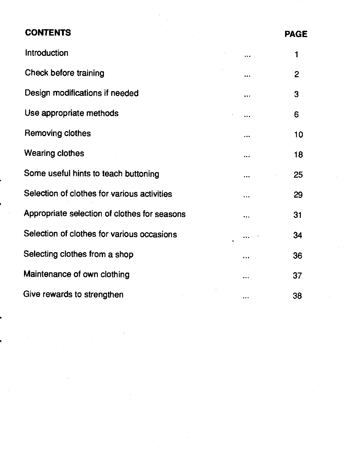### CONTENTS **PAGE**

| Introduction                                 |           |    |
|----------------------------------------------|-----------|----|
| Check before training                        | .         | 2  |
| Design modifications if needed               |           | 3  |
| Use appropriate methods                      | $\ddotsc$ | 6  |
| Removing clothes                             | .         | 10 |
| <b>Wearing clothes</b>                       |           | 18 |
| Some useful hints to teach buttoning         |           | 25 |
| Selection of clothes for various activities  | $\ddotsc$ | 29 |
| Appropriate selection of clothes for seasons |           | 31 |
| Selection of clothes for various occasions   |           | 34 |
| Selecting clothes from a shop                | .         | 36 |
| Maintenance of own clothing                  |           | 37 |
| Give rewards to strengthen                   |           | 38 |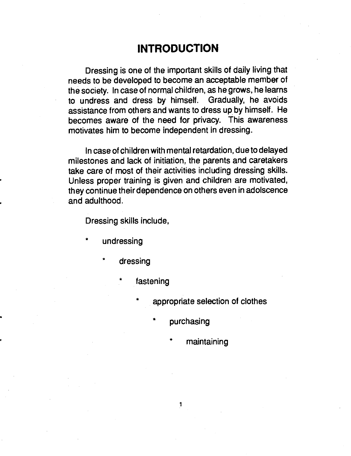### INTRODUCTION

<span id="page-6-0"></span>Dressing is one of the important skills of daily living that needs to be developed to become an acceptable member of the society. In case of normal children, as he grows, he learns to undress and dress by himself. Gradually, he avoids assistance from others and wants to dress up by himself. He becomes aware of the need for privacy. This awareness motivates him to become independent in dressing.

In case of children with mental retardation, due to delayed milestones and lack of initiation, the parents and caretakers take care of most of their activities including dressing skills. Unless proper training is given and children are motivated, they continue their dependence on others even in adolscence and adulthood.

Dressing skills include,

- undressing
	- dressing
		- fastening
			- appropriate selection of clothes
				- purchasing
					- maintaining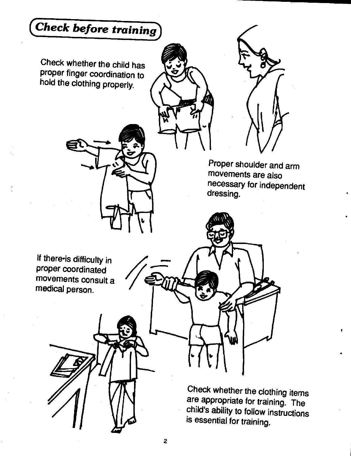<span id="page-7-0"></span>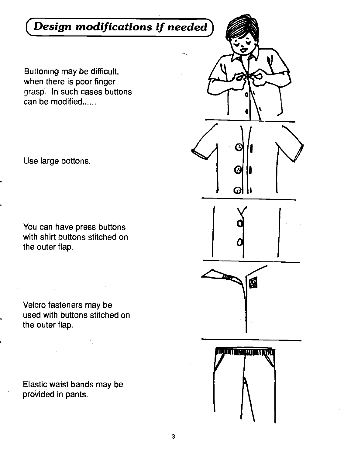### <span id="page-8-0"></span>Design modifications if needed

Buttoning may be difficult, when there is poor finger grasp. In such cases buttons can be modified......

Use large bottons

You can have press buttons with shirt buttons stitched on the outer flap.

Velcro fasteners may be used with buttons stitched on the outer flap.

Elastic waist bands may be provided in pants.

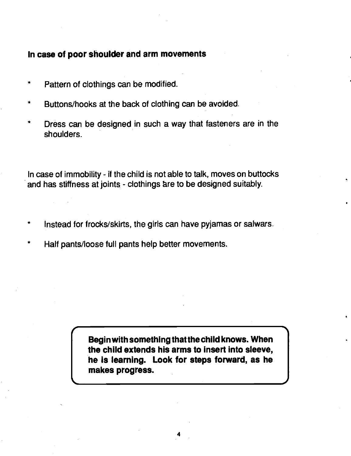#### In case of poor shoulder and arm movements

- Pattern of clothings can be modified.
- Buttons/hooks at the back of clothing can be avoided.
- Dress can be designed in such a way that fasteners are in the shoulders.

In case of immobility - if the child is not able to talk, moves on buttocks and has stiffness at joints. - clothings are to be designed suitably.

- \* Instead for frocks/skirts, the girls can have pyjamas or saiwars.
- Half pants/loose full pants help better movements.

Begin with something that the child knows. When the child extends his arms to insert Into sleeve, he is learning. Look for steps forward, as he makes progress.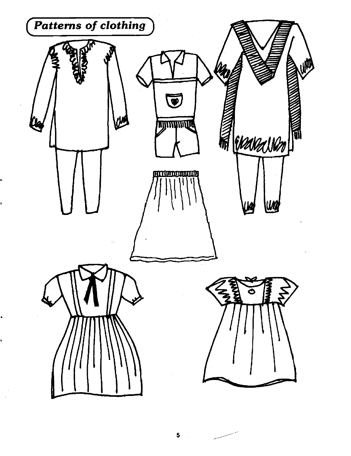

5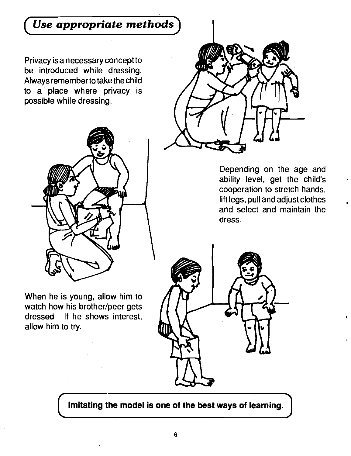### <span id="page-11-0"></span>Use appropriate methods

Privacy is a necessary concept to be introduced while dressing. Always remember to take the child to a place where privacy is possible while dressing.



When he is young, allow him to watch how his brother/peer gets dressed. If he shows. interest, allow him to try.



Depending on the age and ability level, get the child's cooperation to stretch hands, lift legs, pull and adjust clothes and select and maintain the dress.



Imitating the model is one of the best ways of learning.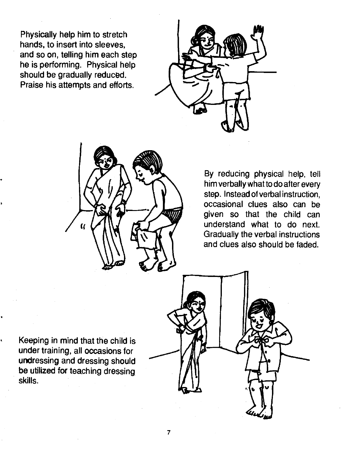Physically help him to stretch hands, to insert into sleeves, and so on, telling him each step he is performing. Physical help should be gradually reduced. Praise his attempts and efforts.





By reducing physical help, tell him verbally what to do after every step. Instead of verbal instruction, occasional clues also can be given so that the child can understand what to do next. Gradually the verbal instructions and clues also should be faded.

Keeping in mind that the child is under training, all occasions for undressing and dressing should be utilized for teaching dressing skills.

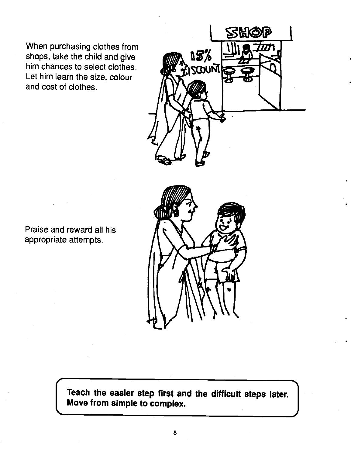When purchasing clothes from<br>shops, take the child and give shops, take the child and give him chances to select clothes. Let him learn the size, colour and cost of clothes.



Praise and reward all his appropriate attempts.



Move from simple to complex. Teach the easier step first and the difficult steps later.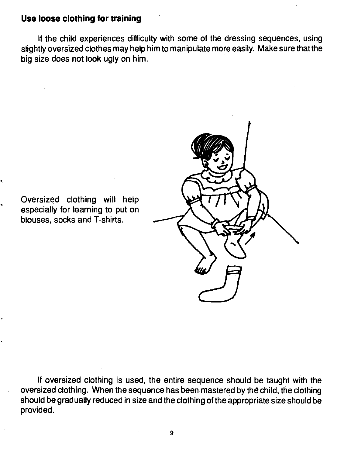#### Use loose clothing for training

If the child experiences difficulty with some of the dressing sequences, using slightly oversized clothes may help him to manipulate more easily. Make sure that the big size does not look ugly on him.

Oversized clothing will help especially for learning to put on blouses, socks and T-shirts.



If oversized clothing is used, the entire sequence should be taught with the oversized clothing. When the sequence has been mastered by the child, the clothing should be gradually reduced in size and the clothing of the appropriate size should be provided.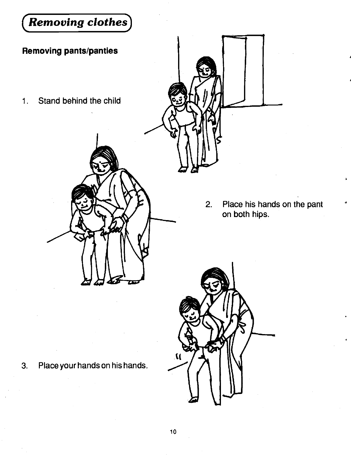<span id="page-15-0"></span>

10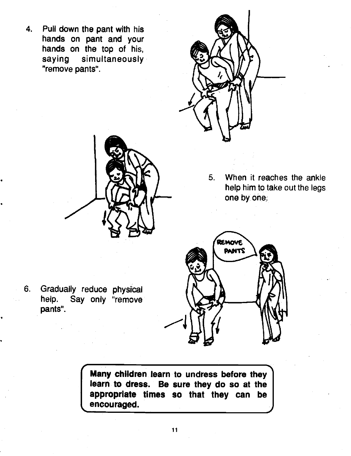4. Pull down the pant with his hands on pant and your hands on the top of his, saying simultaneously "remove pants".



5. When it reaches the ankle help him to take out the legs one by one:



6. Gradually reduce physical<br>help. Say only "remove Say only "remove" pants".

> Many children learn to undress before they learn to dress. Be sure they do so at the appropriate times so that they can be encouraged. encouraged.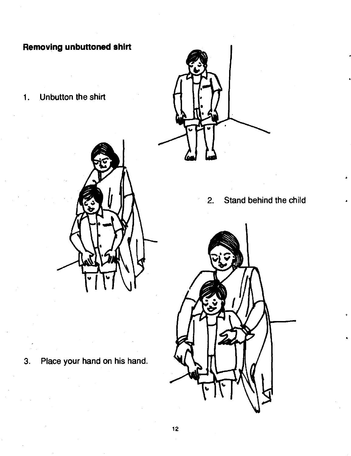### Removing unbuttoned shirt

1. Unbutton the shirt



3. Place your hand on his hand.

- - 2. Stand behind the child

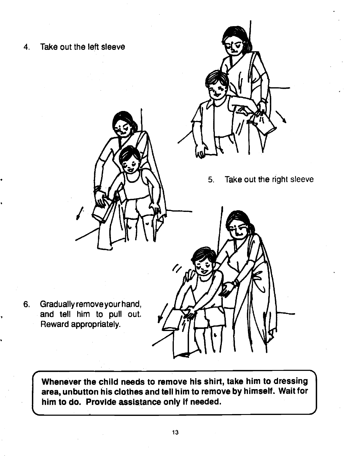

Whenever the child needs to remove his shirt, take him to dressing area, unbutton his clothes and tell him to remove by himself. Wait for him to do. Provide assistance only if needed.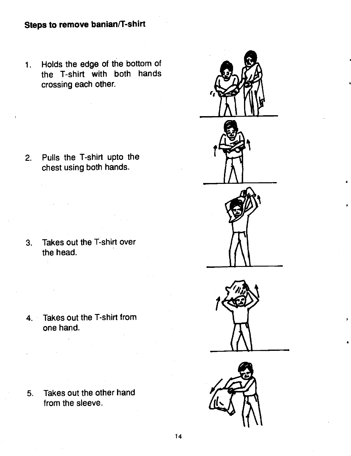1. Holds the edge of the bottom of the T-shirt with both hands crossing each other.

2. Pulls the T-shirt upto the chest using both hands.

3. Takes out the T-shirt over the head.

4. Takes out the T-shirt from one hand.

 $\mathbb{R}^2$ 

5. Takes out the other hand from the sleeve.



3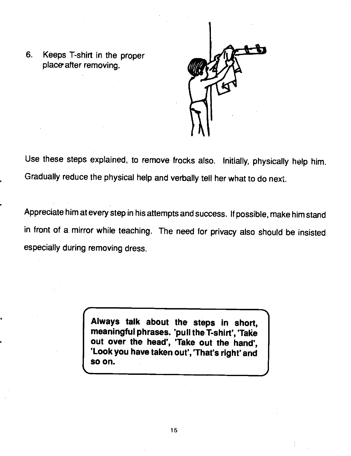6. Keeps T-shirt in the proper place after removing.



Use these steps explained, to remove frocks also. Initially, physically help him. Gradually reduce the physical help and verbally tell her what to do next.

Appreciate him at every step in his attempts and success. If possible, make him stand in front of a mirror while teaching. The need for privacy also should be insisted especially during removing dress.

> Always talk about the steps in short, meaningful phrases. 'pull the T-shirt', 'Take out over the head', 'Take out the hand', 'Look you have taken out', 'That's right' and so on.

> > -I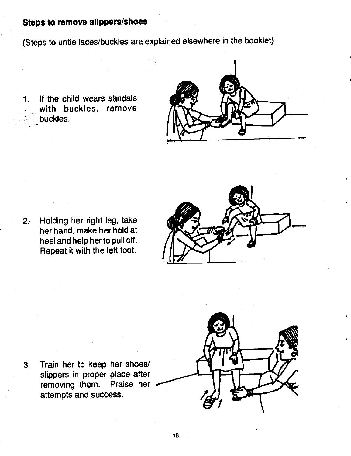#### Steps to remove slippers/shoes

(Steps to untie laces/buckles are explained elsewhere in the booklet)

1. If the child wears sandals with buckles, remove buckles.



2. Holding her right leg, take her hand, make her hold at heel and help her to pull off. Repeat it with the left foot.



3. Train her to keep her shoes/ removing them. Praise her attempts and success.

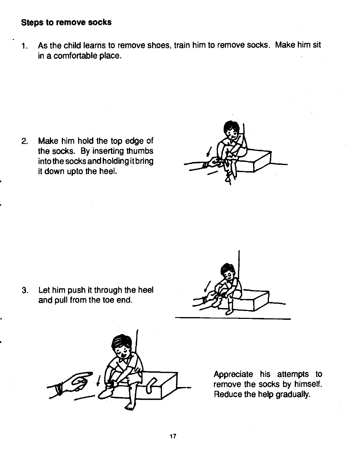#### Steps to remove socks

1. As the child learns to remove shoes, train him to remove socks. Make him sit in a comfortable place.

2. Make him hold the top edge of the socks. By inserting thumbs into the socks and holding itbring it down upto the heel.



3. Let him push it through the heel and pull from the toe end.





Appreciate his attempts to remove the socks by himself. Reduce the help gradually.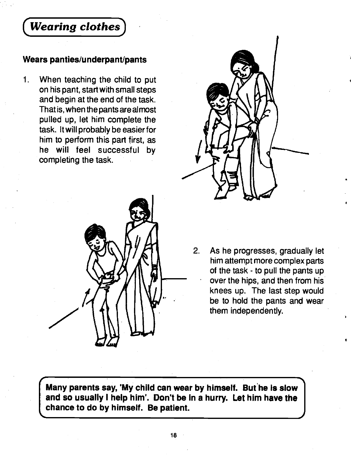### <span id="page-23-0"></span>Wearing clothes)

#### Wears panties/underpant/pants

 $1<sub>1</sub>$ When teaching the child to put on his pant, start with small steps and begin at the end of the task. That is, when the pants are almost pulled up, let him complete the task. It will probably be easier for him to perform this part first, as he will feet successful by completing the task.





2. As he progresses, gradually let him attempt more complex parts of the task - to pull the pants up over the hips, and then from his knees up. The last step would be to hold the pants and wear them independently.

Many parents say, 'My child can wear by himself. But he is slow and so usually I help him'. Don't be in a hurry. Let him have the chance to do by himself. Be patient.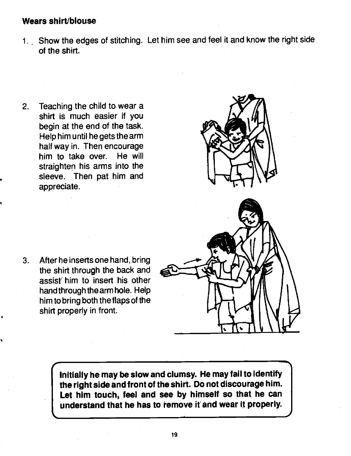#### Wears shirt/blouse

1.. Show the edges of stitching. Let him see and feet it and know the right side of the shirt.

2. Teaching the child to wear a shirt is much easier if you begin at the end of the task. Help him until he gets the arm half way in. Then encourage him to take over. He will straighten his arms into the sleeve. Then pat him and appreciate.



3. After he inserts one hand, bring the shirt through the back and assist him to insert his other handthrough the arm hole. Help him to bring both the flaps of the shirt properly in front.

> Initially he may be slow and clumsy. He may fail to identify the right side and front of the shirt. Do not discourage him. Let him touch, feel and see by himself so that he can understand that he has to remove it and wear it properly.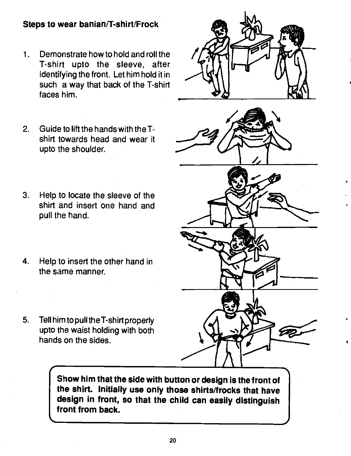### Steps to wear banian/T-shirt/Frock

- 1. Demonstrate how to hold and roll the T-shirt upto the sleeve, after identifying the front. Let him hold it in such a way that back of the T-shirt faces him.
- 2. Guide to lift the hands with the Tshirt towards head and wear it upto the shoulder.
- 3. Help to locate the sleeve of the shirt and insert one hand and pull the hand.
- 4. Help to insert the other hand in the same manner.
- 5. Tell him to pull theT-shirt properly upto the waist holding with both hands on the sides.

Show him that the side with button or design is the front of the shirt. Initially use only those shirts/frocks that have design in front, so that the child can easily distinguish front from back.

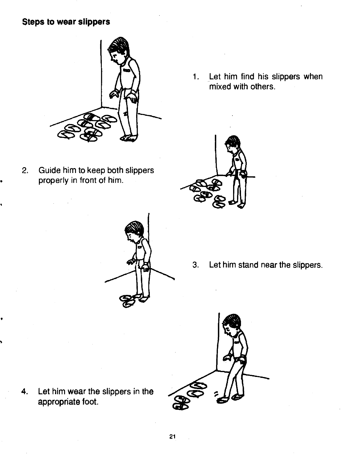### Steps to wear slippers



2. Guide him to keep both slippers properly in front of him.





- 
- 3. Let him stand near the slippers.



4. Let him wear the slippers in the appropriate foot.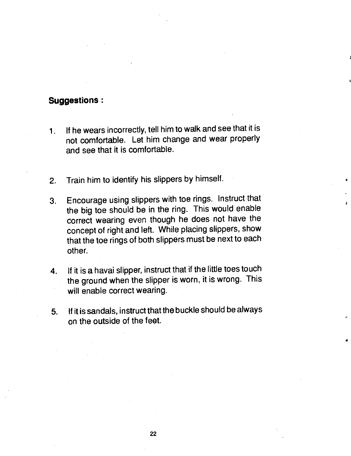#### Suggestions:

- 1. If he wears incorrectly, tell him to walk and see that it is not comfortable. Let him change and wear properly and see that it is comfortable.
- 2. Train him to identify his slippers by himself.
- 3. Encourage using slippers with toe rings. Instruct that the big toe should be in the ring. This would enable Correct wearing even though he does not have the concept of right and left. While placing slippers, show that the toe rings of both slippers must be next to each other.
- 4. If it is a havai slipper, instruct that if the little toes touch the ground when the slipper is worn, it is wrong. This will enable correct wearing.
- 5. If it is sandals, instruct that the buckle should be always on the outside of the feet.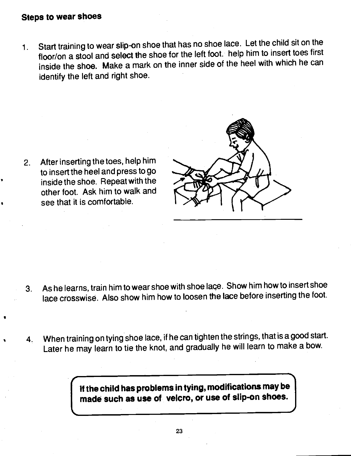### Steps to wear shoes

1. Start training to wear slip-on shoe that has no shoe lace. Let the child sit on the floor/on a stool and select the shoe for the left foot. help him to insert toes first inside the shoe. Make a mark on the inner side of the heel with which he can identify the left and right shoe.

2. After inserting the toes, help him to insert the heel and press to go inside the shoe. Repeat with the other foot. Ask him to walk and see that it is comfortable.



- 3. As he learns, train him to wear shoe with shoe lace. Show him how to insert shoe lace crosswise. Also show him how to loosen the lace before inserting the foot.
- 4. When training on tying shoe lace, if he can tighten the strings, that is a good start. Later he may learn to tie the knot, and gradually he will learn to make a bow.

I If the child has problems in tying, modifications maybe made such as use of velcro, or use of slip-on shoes.  $\, \mid \,$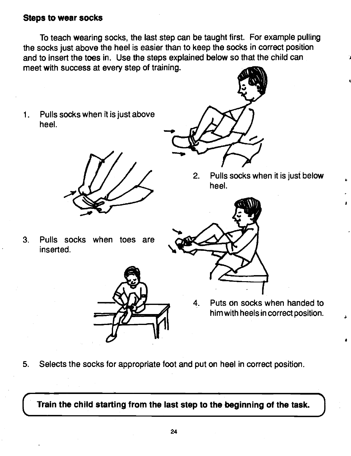#### Steps to wear socks

To teach wearing socks, the last step can be taught first. For example pulling the socks just above the heel is easier than to keep the socks in correct position and to insert the toes in. Use the steps explained below so that the child can meet with success at every step of training.

1. Pulls socks when it is just above heel.

3. Pulls socks when toes are

inserted.



- $-dA$  $\rightarrow$ 
	- 2. Pulls socks when it is just below heel.

A



- 4. Puts on socks when handed to him with heels in correct position.
- 
- 5. Selects the socks for appropriate foot and put on heel in correct position.

Train the child starting from the last step to the beginning of the task.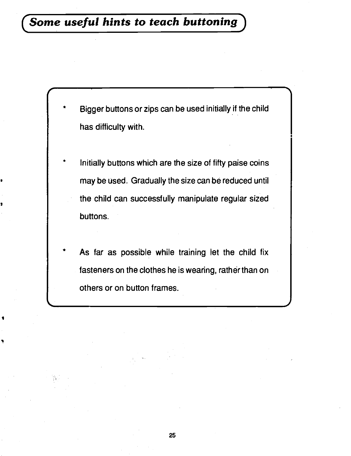<span id="page-30-0"></span>

- \* Initially buttons which are the size of fifty paise coins may be used. Gradually the size can be reduced until the child can successfully manipulate regular sized buttons.
- As far as possible while training let the child fix fasteners on the clothes he is wearing, rather than on others or on button frames.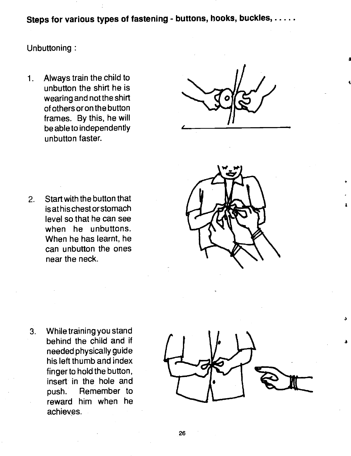Steps for various types of fastening - buttons, hooks, buckles, .....

#### Unbuttoning:

Always train the child to  $1<sub>1</sub>$ unbutton the shirt he is wearing and not the shirt of others oron the button frames. By this, he will be able to independently unbutton faster.

2. Start with the button that is at his chest or stomach level so that he can see when he unbuttons. When he has learnt, he can unbutton the ones near the neck.



3. While training you stand behind the child and it needed physically guide his left thumb and index finger to hold the button, insert in the hole and push. Remember to reward him when he achieves.



3

&

a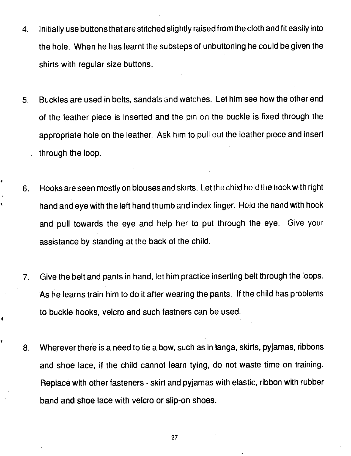- 4. Initially use buttons that are stitched slightly raised from the cloth and fit easily into the hole. When he has learnt the substeps of unbuttoning he could be given the shirts with regular size buttons.
- 5. Buckles are used in belts, sandals and watches. Let him see how the other end of the leather piece is inserted and the pin on the buckle is fixed through the appropriate hole on the leather. Ask him to pull out the leather piece and insert through the loop.
- 6. Hooks are seen mostly on blouses and skirts. Let the child hold the hook with right hand and eye with the left hand thumb and index finger. Hold the hand with hook and pull towards the eye and help her to put through the eye. Give your assistance by standing at the back of the child.

۹

Ý

- 7. Give the belt and pants in hand, let him practice inserting belt through the loops. As he learns train him to do it after wearing the pants. If the child has problems to buckle hooks, velcro and such fastners can be used.
- 8. Wherever there is a need to tie a bow, such as in langa, skirts, pyjamas, ribbons and shoe lace, if the child cannot learn tying, do not waste time on training. Replace with other fasteners - skirt and pyjamas with elastic, ribbon with rubber band and shoe lace with velcro or slip-on shoes.

27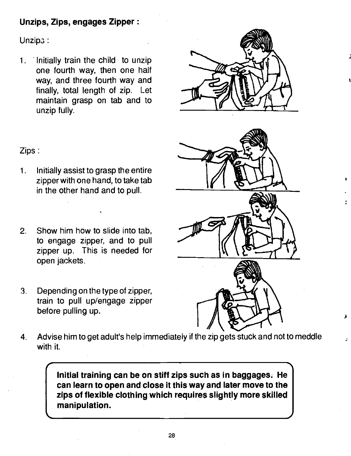#### Unzips, Zips, engages Zipper:

Unzipa:

1. Initially train the child to unzip one fourth way, then one half way, and three fourth way and finally, total length of zip. Let maintain grasp on tab and to unzip fully.



A

t



- 1. Initially assist to grasp the entire zipper with one hand, to take tab in the other hand and to pull.
- 2. Show him how to slide into tab, to engage zipper, and to pull zipper up. This is needed for open jackets.
- 3. Depending on the type of zipper, train to pull up/engage zipper before pulling up.

I-



4. Advise him to get adult's help immediately if the zip gets stuck and not to meddle with it.

> Initial training can be on stiff zips such as in baggages; He can learn to open and close it this way and later move to the zips of flexible clothing which requires slightly more skilled manipulation.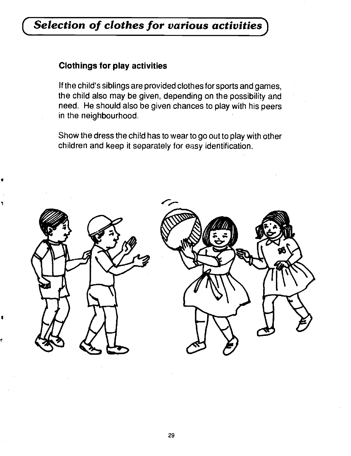### <span id="page-34-0"></span>Selection of clothes for various activities

#### Clothings for play activities

If the child's siblings are provided clothes for sports and games, the child also may be given, depending on the possibility and need. He should also be given chances to play with his peers in the neighbourhood.

Show the dress the chi!d has to wear to go out to play with other children and keep it separately for easy identification.

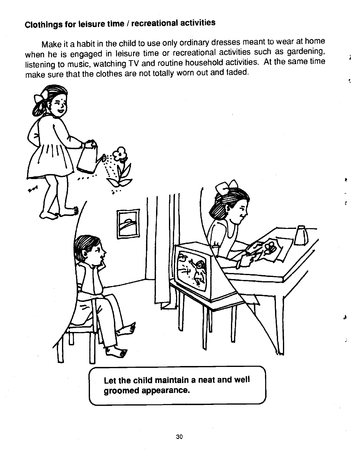### Clothings for leisure time / recreational activities

Make it a habit in the child to use only ordinary dresses meant to wear at home when he is engaged in leisure time or recreational activities such as gardening, listening to music, watching TV and routine household activities. At the same time make sure that the clothes are not totally worn out and faded.



Ŷ.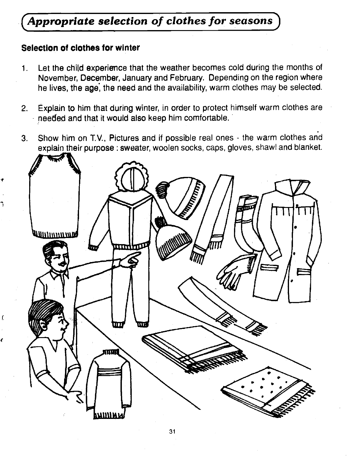### <span id="page-36-0"></span>Appropriate selection of clothes for seasons

#### Selection of clothes for winter

ſ.

ł

- 1. Let the child experience that the weather becomes cold during the months of November, December, January and February. Depending on the region where he lives, the age, the need and the availability, warm clothes may be selected.
- 2. Explain to him that during winter, in order to protect himself warm clothes are needed and that it would also keep him comfortable.
- 3. Show him on T.V., Pictures and if possible real ones the warm clothes and explain their purpose : sweater, woolen socks, caps, gloves, shawl and blanket.

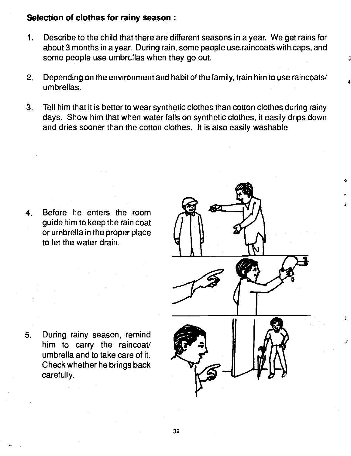#### Selection of clothes for rainy season:

- 1. Describe to the child that there are different seasons in a year. We get rains for about 3 months in a year. During rain, some people use raincoats with caps, and some people use umbrclas when they go out.
- 2. Depending on the environment and habit of the family, train him to use raincoats/ umbrellas.
- 3. Tell him that it is better to wear synthetic clothes than cotton clothes during rainy days. Show him that when water falls on synthetic clothes, it easily drips down and dries sooner than the cotton clothes. It is also easily washable.

4. Before he enters the room guide him to keep the rain coat or umbrella in the proper place to let the water drain.



 $\bullet$ 

4

5. During rainy season, remind<br>him to carry the raincoat/ umbrella and to take care of it. Check whether he brings back carefully.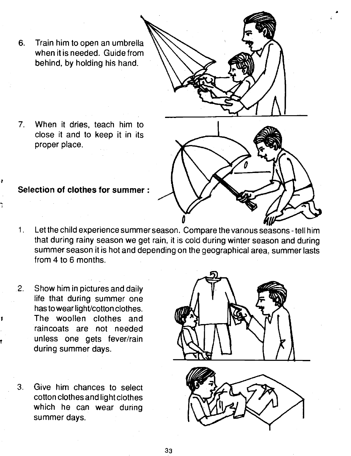6. Train him to open an umbrella when it is needed. Guide from behind, by holding his hand.

7. When it dries, teach him to close it and to keep it in its proper place.

#### Selection of clothes for summer:

- Let the child experience summer season. Compare the various seasons tell him  $1<sub>r</sub>$ that during rainy season we get rain, it is cold during winter season and during summer season it is hot and depending on the geographical area, summer lasts from 4 to 6 months.
- 2. Show him in pictures and daily life that during summer one has to wear light/cotton clothes. The woollen clothes and raincoats are not needed unless one gets fever/rain during summer days.
- 3. Give him chances to select cotton clothes and light clothes which he can wear during summer days.

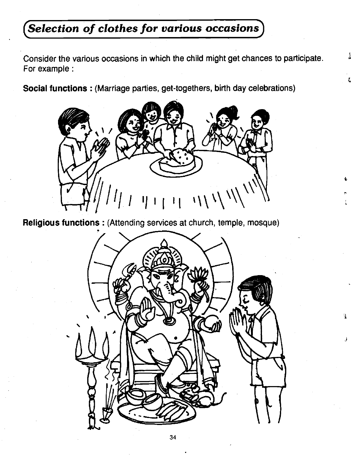### <span id="page-39-0"></span>Selection of clothes for various occasions

Consider the various occasions in which the child might get chances to participate. For example:

Social functions : (Marriage parties, get-togethers, birth day celebrations)



4

 $\mathbf{F}$ 

δ,

Religious functions: (Attending services at church, temple, mosque)

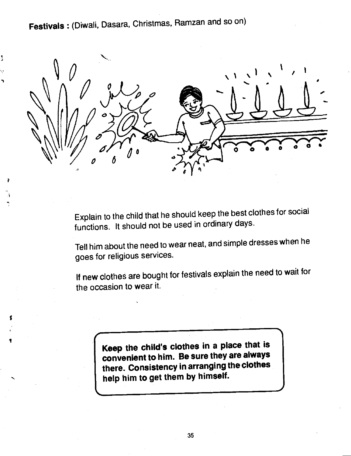Festivals : (Diwali, Dasara, Christmas, Ramzan and so on)

۱



Explain to the child that he should keep the best clothes for social functions. It should not be used in ordinary days.

Tell him about the need to wear neat, and simple dresses when he goes for religious services.

If new clothes are bought for festivals explain the need to wait for the occasion to wear it.

> Keep the child's clothes in a place that is convenient to him. Be sure they are always there. Consistency in arranging the clothes help him to get them by himself.

SI-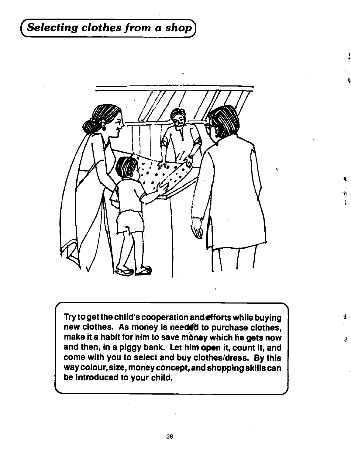### <span id="page-41-0"></span>Selecting clothes from a shop $\rceil$



t

4

 $\mathcal{T}^{\mathcal{A}}$ 

Try to get the child's cooperation andetforts while buying new clothes. As money is needed to purchase clothes, make it a habit for him to save mâney which he gets now and then, in a piggy bank. Let him open it, count it, and come with you to select and buy clothes/dress. By this way colour, size, money concept, and shopping skills can be introduced to your child.

 $\overline{\phantom{a}}$  , and the set of the set of the set of the set of the set of the set of the set of the set of the set of the set of the set of the set of the set of the set of the set of the set of the set of the set of the s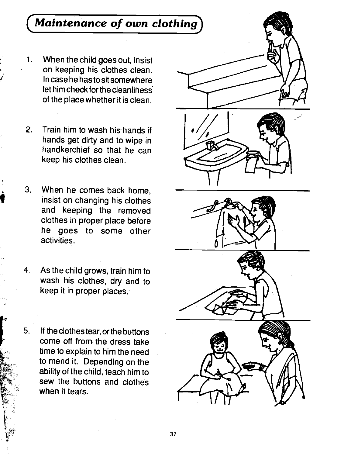### <span id="page-42-0"></span>Maintenance of own clothing

- When the child goes out, insist  $\mathbf{1}$ . on keeping his clothes clean. In case he has to sit somewhere let him check forthe cleanlihess' of the place whether it is clean.
- 2. Train him to wash hishands if hands get dirty and to wipe in handkerchief so that he can keep his clothes clean.
- 3. When he comes back home, insist on changing his clothes and keeping the removed clothes in proper place before he goes to some other activities.
- 4. As the child grows, train him to wash his clothes, dry and to keep it in proper places.
- 5. If the clothestear, or the buttons<br>
Frace come off from the dress take come off from the dress take time to explain to him the need to mend it. Depending on the ability of the child, teach him to sew the buttons and clothes when it tears.